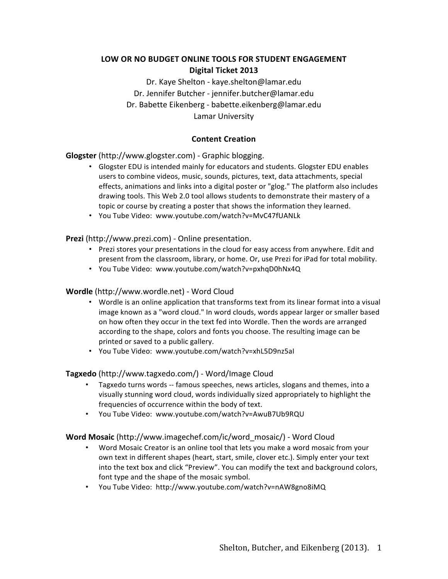# LOW OR NO BUDGET ONLINE TOOLS FOR STUDENT ENGAGEMENT **Digital Ticket 2013**

Dr. Kaye Shelton - kaye.shelton@lamar.edu Dr. Jennifer Butcher - jennifer.butcher@lamar.edu Dr. Babette Eikenberg - babette.eikenberg@lamar.edu Lamar University

### **Content Creation**

**Glogster** (http://www.glogster.com) - Graphic blogging.

- Glogster EDU is intended mainly for educators and students. Glogster EDU enables users to combine videos, music, sounds, pictures, text, data attachments, special effects, animations and links into a digital poster or "glog." The platform also includes drawing tools. This Web 2.0 tool allows students to demonstrate their mastery of a topic or course by creating a poster that shows the information they learned.
- You Tube Video: www.youtube.com/watch?v=MvC47fUANLk

**Prezi** (http://www.prezi.com) - Online presentation.

- Prezi stores your presentations in the cloud for easy access from anywhere. Edit and present from the classroom, library, or home. Or, use Prezi for iPad for total mobility.
- You Tube Video: www.youtube.com/watch?v=pxhqD0hNx4Q

#### **Wordle** (http://www.wordle.net) - Word Cloud

- Wordle is an online application that transforms text from its linear format into a visual image known as a "word cloud." In word clouds, words appear larger or smaller based on how often they occur in the text fed into Wordle. Then the words are arranged according to the shape, colors and fonts you choose. The resulting image can be printed or saved to a public gallery.
- You Tube Video: www.youtube.com/watch?v=xhL5D9nz5al

#### **Tagxedo** (http://www.tagxedo.com/) - Word/Image Cloud

- Tagxedo turns words -- famous speeches, news articles, slogans and themes, into a visually stunning word cloud, words individually sized appropriately to highlight the frequencies of occurrence within the body of text.
- You Tube Video: www.youtube.com/watch?v=AwuB7Ub9RQU

#### **Word Mosaic** (http://www.imagechef.com/ic/word\_mosaic/) - Word Cloud

- Word Mosaic Creator is an online tool that lets you make a word mosaic from your own text in different shapes (heart, start, smile, clover etc.). Simply enter your text into the text box and click "Preview". You can modify the text and background colors, font type and the shape of the mosaic symbol.
- You Tube Video: http://www.youtube.com/watch?v=nAW8gno8iMQ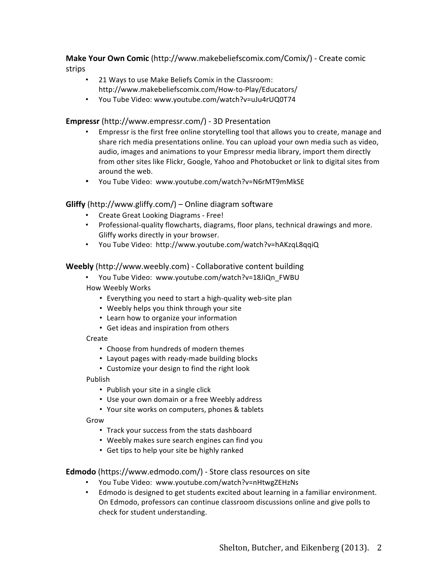**Make Your Own Comic** (http://www.makebeliefscomix.com/Comix/) - Create comic strips

- 21 Ways to use Make Beliefs Comix in the Classroom: http://www.makebeliefscomix.com/How-to-Play/Educators/
- You Tube Video: www.youtube.com/watch?v=uJu4rUQ0T74

### **Empressr** (http://www.empressr.com/) - 3D Presentation

- Empressr is the first free online storytelling tool that allows you to create, manage and share rich media presentations online. You can upload your own media such as video, audio, images and animations to your Empressr media library, import them directly from other sites like Flickr, Google, Yahoo and Photobucket or link to digital sites from around the web.
- You Tube Video: www.youtube.com/watch?v=N6rMT9mMkSE

### **Gliffy** (http://www.gliffy.com/) – Online diagram software

- Create Great Looking Diagrams Free!
- Professional-quality flowcharts, diagrams, floor plans, technical drawings and more. Gliffy works directly in your browser.
- You Tube Video: http://www.youtube.com/watch?v=hAKzqL8qqiQ

### **Weebly** (http://www.weebly.com) - Collaborative content building

- You Tube Video: www.youtube.com/watch?v=18JiQn\_FWBU How Weebly Works
	- Everything you need to start a high-quality web-site plan
	- Weebly helps you think through your site
	- Learn how to organize your information
	- Get ideas and inspiration from others

#### Create

- Choose from hundreds of modern themes
- Layout pages with ready-made building blocks
- Customize your design to find the right look

#### Publish

- Publish your site in a single click
- Use your own domain or a free Weebly address
- Your site works on computers, phones & tablets

Grow

- Track your success from the stats dashboard
- Weebly makes sure search engines can find you
- Get tips to help your site be highly ranked

### **Edmodo** (https://www.edmodo.com/) - Store class resources on site

- You Tube Video: www.youtube.com/watch?v=nHtwgZEHzNs
- Edmodo is designed to get students excited about learning in a familiar environment. On Edmodo, professors can continue classroom discussions online and give polls to check for student understanding.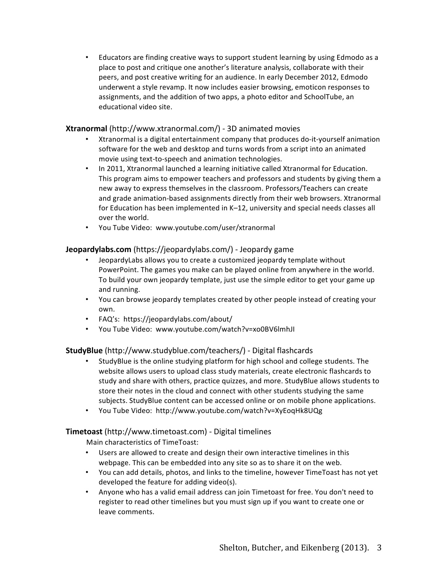• Educators are finding creative ways to support student learning by using Edmodo as a place to post and critique one another's literature analysis, collaborate with their peers, and post creative writing for an audience. In early December 2012, Edmodo underwent a style revamp. It now includes easier browsing, emoticon responses to assignments, and the addition of two apps, a photo editor and SchoolTube, an educational video site.

### **Xtranormal** (http://www.xtranormal.com/) - 3D animated movies

- Xtranormal is a digital entertainment company that produces do-it-yourself animation software for the web and desktop and turns words from a script into an animated movie using text-to-speech and animation technologies.
- In 2011, Xtranormal launched a learning initiative called Xtranormal for Education. This program aims to empower teachers and professors and students by giving them a new away to express themselves in the classroom. Professors/Teachers can create and grade animation-based assignments directly from their web browsers. Xtranormal for Education has been implemented in  $K-12$ , university and special needs classes all over the world.
- You Tube Video: www.youtube.com/user/xtranormal

### **Jeopardylabs.com** (https://jeopardylabs.com/) - Jeopardy game

- JeopardyLabs allows you to create a customized jeopardy template without PowerPoint. The games you make can be played online from anywhere in the world. To build your own jeopardy template, just use the simple editor to get your game up and running.
- You can browse jeopardy templates created by other people instead of creating your own.
- FAQ's: https://jeopardylabs.com/about/
- You Tube Video: www.youtube.com/watch?v=xo0BV6lmhJI

### **StudyBlue** (http://www.studyblue.com/teachers/) - Digital flashcards

- StudyBlue is the online studying platform for high school and college students. The website allows users to upload class study materials, create electronic flashcards to study and share with others, practice quizzes, and more. StudyBlue allows students to store their notes in the cloud and connect with other students studying the same subjects. StudyBlue content can be accessed online or on mobile phone applications.
- You Tube Video: http://www.youtube.com/watch?v=XyEoqHk8UQg

### **Timetoast** (http://www.timetoast.com) - Digital timelines

Main characteristics of TimeToast:

- Users are allowed to create and design their own interactive timelines in this webpage. This can be embedded into any site so as to share it on the web.
- You can add details, photos, and links to the timeline, however TimeToast has not yet developed the feature for adding video(s).
- Anyone who has a valid email address can join Timetoast for free. You don't need to register to read other timelines but you must sign up if you want to create one or leave comments.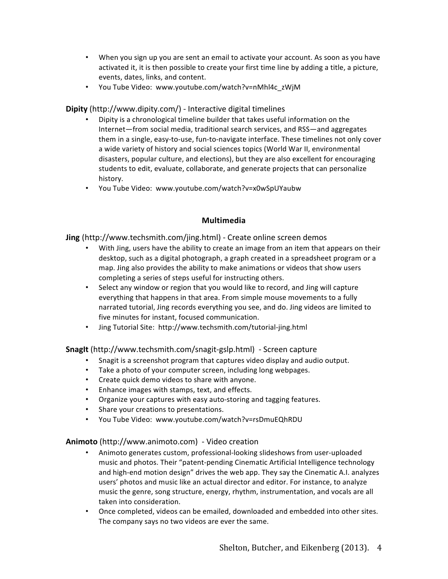- When you sign up you are sent an email to activate your account. As soon as you have activated it, it is then possible to create your first time line by adding a title, a picture, events, dates, links, and content.
- You Tube Video: www.youtube.com/watch?v=nMhl4c\_zWjM

### **Dipity** (http://www.dipity.com/) - Interactive digital timelines

- Dipity is a chronological timeline builder that takes useful information on the Internet—from social media, traditional search services, and RSS—and aggregates them in a single, easy-to-use, fun-to-navigate interface. These timelines not only cover a wide variety of history and social sciences topics (World War II, environmental disasters, popular culture, and elections), but they are also excellent for encouraging students to edit, evaluate, collaborate, and generate projects that can personalize history.
- You Tube Video: www.youtube.com/watch?v=x0wSpUYaubw

### **Multimedia**

**Jing** (http://www.techsmith.com/jing.html) - Create online screen demos

- With Jing, users have the ability to create an image from an item that appears on their desktop, such as a digital photograph, a graph created in a spreadsheet program or a map. Jing also provides the ability to make animations or videos that show users completing a series of steps useful for instructing others.
- Select any window or region that you would like to record, and Jing will capture everything that happens in that area. From simple mouse movements to a fully narrated tutorial, Jing records everything you see, and do. Jing videos are limited to five minutes for instant, focused communication.
- Jing Tutorial Site: http://www.techsmith.com/tutorial-jing.html

**SnagIt** (http://www.techsmith.com/snagit-gslp.html) - Screen capture

- Snagit is a screenshot program that captures video display and audio output.
- Take a photo of your computer screen, including long webpages.
- Create quick demo videos to share with anyone.
- Enhance images with stamps, text, and effects.
- Organize your captures with easy auto-storing and tagging features.
- Share your creations to presentations.
- You Tube Video: www.youtube.com/watch?v=rsDmuEQhRDU

### **Animoto** (http://www.animoto.com) - Video creation

- Animoto generates custom, professional-looking slideshows from user-uploaded music and photos. Their "patent-pending Cinematic Artificial Intelligence technology and high-end motion design" drives the web app. They say the Cinematic A.I. analyzes users' photos and music like an actual director and editor. For instance, to analyze music the genre, song structure, energy, rhythm, instrumentation, and vocals are all taken into consideration.
- Once completed, videos can be emailed, downloaded and embedded into other sites. The company says no two videos are ever the same.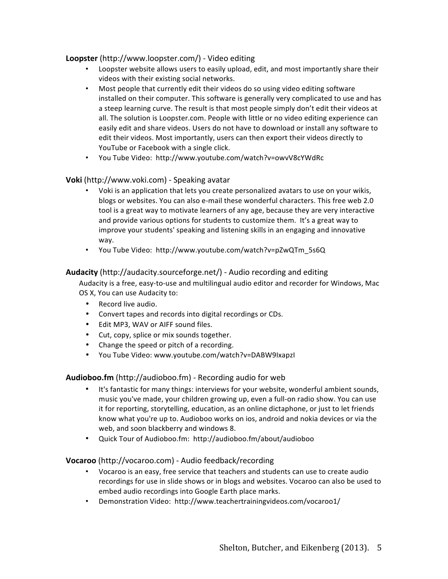### **Loopster** (http://www.loopster.com/) - Video editing

- Loopster website allows users to easily upload, edit, and most importantly share their videos with their existing social networks.
- Most people that currently edit their videos do so using video editing software installed on their computer. This software is generally very complicated to use and has a steep learning curve. The result is that most people simply don't edit their videos at all. The solution is Loopster.com. People with little or no video editing experience can easily edit and share videos. Users do not have to download or install any software to edit their videos. Most importantly, users can then export their videos directly to YouTube or Facebook with a single click.
- You Tube Video: http://www.youtube.com/watch?v=owvV8cYWdRc

### **Voki** (http://www.voki.com) - Speaking avatar

- Voki is an application that lets you create personalized avatars to use on your wikis, blogs or websites. You can also e-mail these wonderful characters. This free web 2.0 tool is a great way to motivate learners of any age, because they are very interactive and provide various options for students to customize them. It's a great way to improve your students' speaking and listening skills in an engaging and innovative way.
- You Tube Video: http://www.youtube.com/watch?v=pZwQTm\_5s6Q

#### **Audacity** (http://audacity.sourceforge.net/) - Audio recording and editing

Audacity is a free, easy-to-use and multilingual audio editor and recorder for Windows, Mac OS X, You can use Audacity to:

- Record live audio.
- Convert tapes and records into digital recordings or CDs.
- Edit MP3, WAV or AIFF sound files.
- Cut, copy, splice or mix sounds together.
- Change the speed or pitch of a recording.
- You Tube Video: www.youtube.com/watch?v=DABW9IxapzI

**Audioboo.fm** (http://audioboo.fm) - Recording audio for web

- It's fantastic for many things: interviews for your website, wonderful ambient sounds, music you've made, your children growing up, even a full-on radio show. You can use it for reporting, storytelling, education, as an online dictaphone, or just to let friends know what you're up to. Audioboo works on ios, android and nokia devices or via the web, and soon blackberry and windows 8.
- Quick Tour of Audioboo.fm: http://audioboo.fm/about/audioboo

#### **Vocaroo** (http://vocaroo.com) - Audio feedback/recording

- Vocaroo is an easy, free service that teachers and students can use to create audio recordings for use in slide shows or in blogs and websites. Vocaroo can also be used to embed audio recordings into Google Earth place marks.
- Demonstration Video: http://www.teachertrainingvideos.com/vocaroo1/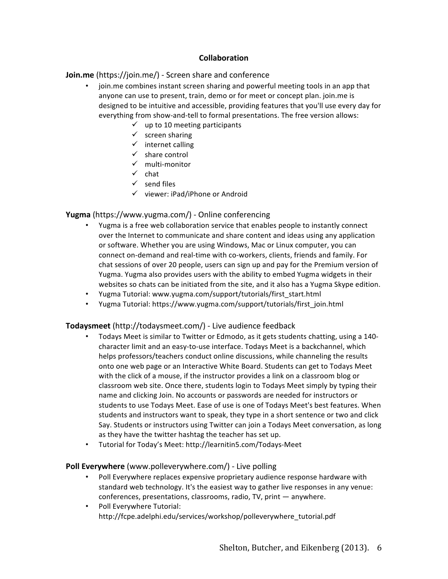### **Collaboration**

### **Join.me** (https://join.me/) - Screen share and conference

- join.me combines instant screen sharing and powerful meeting tools in an app that anyone can use to present, train, demo or for meet or concept plan. join.me is designed to be intuitive and accessible, providing features that you'll use every day for everything from show-and-tell to formal presentations. The free version allows:
	- $\checkmark$  up to 10 meeting participants
	- $\checkmark$  screen sharing
	- $\checkmark$  internet calling
	- $\checkmark$  share control
	- $\checkmark$  multi-monitor
	- $\checkmark$  chat
	- $\checkmark$  send files
	- $\checkmark$  viewer: iPad/iPhone or Android

#### **Yugma** (https://www.yugma.com/) - Online conferencing

- Yugma is a free web collaboration service that enables people to instantly connect over the Internet to communicate and share content and ideas using any application or software. Whether you are using Windows, Mac or Linux computer, you can connect on-demand and real-time with co-workers, clients, friends and family. For chat sessions of over 20 people, users can sign up and pay for the Premium version of Yugma. Yugma also provides users with the ability to embed Yugma widgets in their websites so chats can be initiated from the site, and it also has a Yugma Skype edition.
- Yugma Tutorial: www.yugma.com/support/tutorials/first\_start.html
- Yugma Tutorial: https://www.yugma.com/support/tutorials/first\_join.html

#### **Todaysmeet** (http://todaysmeet.com/) - Live audience feedback

- Todays Meet is similar to Twitter or Edmodo, as it gets students chatting, using a 140character limit and an easy-to-use interface. Todays Meet is a backchannel, which helps professors/teachers conduct online discussions, while channeling the results onto one web page or an Interactive White Board. Students can get to Todays Meet with the click of a mouse, if the instructor provides a link on a classroom blog or classroom web site. Once there, students login to Todays Meet simply by typing their name and clicking Join. No accounts or passwords are needed for instructors or students to use Todays Meet. Ease of use is one of Todays Meet's best features. When students and instructors want to speak, they type in a short sentence or two and click Say. Students or instructors using Twitter can join a Todays Meet conversation, as long as they have the twitter hashtag the teacher has set up.
- Tutorial for Today's Meet: http://learnitin5.com/Todays-Meet

#### **Poll Everywhere** (www.polleverywhere.com/) - Live polling

- Poll Everywhere replaces expensive proprietary audience response hardware with standard web technology. It's the easiest way to gather live responses in any venue: conferences, presentations, classrooms, radio,  $TV$ , print  $-$  anywhere.
- Poll Everywhere Tutorial: http://fcpe.adelphi.edu/services/workshop/polleverywhere\_tutorial.pdf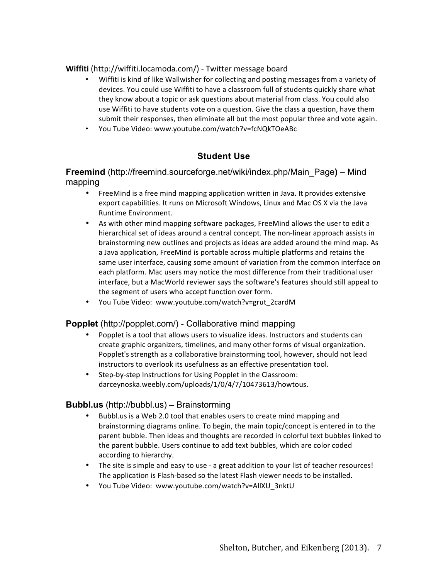**Wiffiti** (http://wiffiti.locamoda.com/) - Twitter message board

- Wiffiti is kind of like Wallwisher for collecting and posting messages from a variety of devices. You could use Wiffiti to have a classroom full of students quickly share what they know about a topic or ask questions about material from class. You could also use Wiffiti to have students vote on a question. Give the class a question, have them submit their responses, then eliminate all but the most popular three and vote again.
- You Tube Video: www.youtube.com/watch?v=fcNQkTOeABc

# **Student Use**

**Freemind** (http://freemind.sourceforge.net/wiki/index.php/Main\_Page**)** – Mind mapping

- FreeMind is a free mind mapping application written in Java. It provides extensive export capabilities. It runs on Microsoft Windows, Linux and Mac OS X via the Java Runtime Environment.
- As with other mind mapping software packages, FreeMind allows the user to edit a hierarchical set of ideas around a central concept. The non-linear approach assists in brainstorming new outlines and projects as ideas are added around the mind map. As a Java application, FreeMind is portable across multiple platforms and retains the same user interface, causing some amount of variation from the common interface on each platform. Mac users may notice the most difference from their traditional user interface, but a MacWorld reviewer says the software's features should still appeal to the segment of users who accept function over form.
- You Tube Video: www.youtube.com/watch?v=grut\_2cardM

### **Popplet** (http://popplet.com/) - Collaborative mind mapping

- Popplet is a tool that allows users to visualize ideas. Instructors and students can create graphic organizers, timelines, and many other forms of visual organization. Popplet's strength as a collaborative brainstorming tool, however, should not lead instructors to overlook its usefulness as an effective presentation tool.
- Step-by-step Instructions for Using Popplet in the Classroom: darceynoska.weebly.com/uploads/1/0/4/7/10473613/howtous.

### **Bubbl.us** (http://bubbl.us) – Brainstorming

- Bubbl.us is a Web 2.0 tool that enables users to create mind mapping and brainstorming diagrams online. To begin, the main topic/concept is entered in to the parent bubble. Then ideas and thoughts are recorded in colorful text bubbles linked to the parent bubble. Users continue to add text bubbles, which are color coded according to hierarchy.
- The site is simple and easy to use a great addition to your list of teacher resources! The application is Flash-based so the latest Flash viewer needs to be installed.
- You Tube Video: www.youtube.com/watch?v=AllXU\_3nktU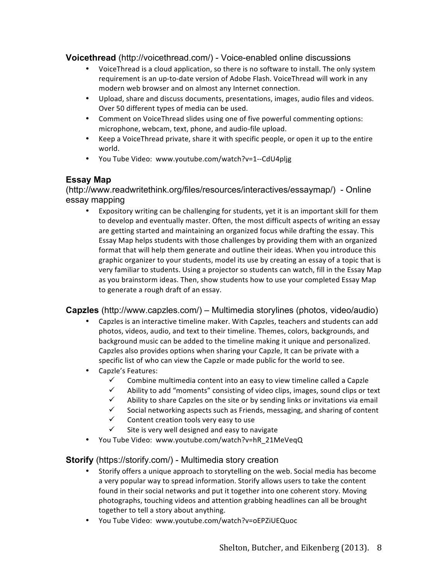# **Voicethread** (http://voicethread.com/) - Voice-enabled online discussions

- VoiceThread is a cloud application, so there is no software to install. The only system requirement is an up-to-date version of Adobe Flash. VoiceThread will work in any modern web browser and on almost any Internet connection.
- Upload, share and discuss documents, presentations, images, audio files and videos. Over 50 different types of media can be used.
- Comment on VoiceThread slides using one of five powerful commenting options: microphone, webcam, text, phone, and audio-file upload.
- Keep a VoiceThread private, share it with specific people, or open it up to the entire world.
- You Tube Video: www.youtube.com/watch?v=1--CdU4pljg

# **Essay Map**

(http://www.readwritethink.org/files/resources/interactives/essaymap/) - Online essay mapping

• Expository writing can be challenging for students, yet it is an important skill for them to develop and eventually master. Often, the most difficult aspects of writing an essay are getting started and maintaining an organized focus while drafting the essay. This Essay Map helps students with those challenges by providing them with an organized format that will help them generate and outline their ideas. When you introduce this graphic organizer to your students, model its use by creating an essay of a topic that is very familiar to students. Using a projector so students can watch, fill in the Essay Map as you brainstorm ideas. Then, show students how to use your completed Essay Map to generate a rough draft of an essay.

### **Capzles** (http://www.capzles.com/) – Multimedia storylines (photos, video/audio)

- Capzles is an interactive timeline maker. With Capzles, teachers and students can add photos, videos, audio, and text to their timeline. Themes, colors, backgrounds, and background music can be added to the timeline making it unique and personalized. Capzles also provides options when sharing your Capzle, It can be private with a specific list of who can view the Capzle or made public for the world to see.
- Capzle's Features:
	- $\checkmark$  Combine multimedia content into an easy to view timeline called a Capzle
	- Ability to add "moments" consisting of video clips, images, sound clips or text
	- $\checkmark$  Ability to share Capzles on the site or by sending links or invitations via email
	- $\checkmark$  Social networking aspects such as Friends, messaging, and sharing of content
	- $\checkmark$  Content creation tools very easy to use
	- $\checkmark$  Site is very well designed and easy to navigate
- You Tube Video: www.youtube.com/watch?v=hR\_21MeVeqQ

### **Storify** (https://storify.com/) - Multimedia story creation

- Storify offers a unique approach to storytelling on the web. Social media has become a very popular way to spread information. Storify allows users to take the content found in their social networks and put it together into one coherent story. Moving photographs, touching videos and attention grabbing headlines can all be brought together to tell a story about anything.
- You Tube Video: www.youtube.com/watch?v=oEPZiUEQuoc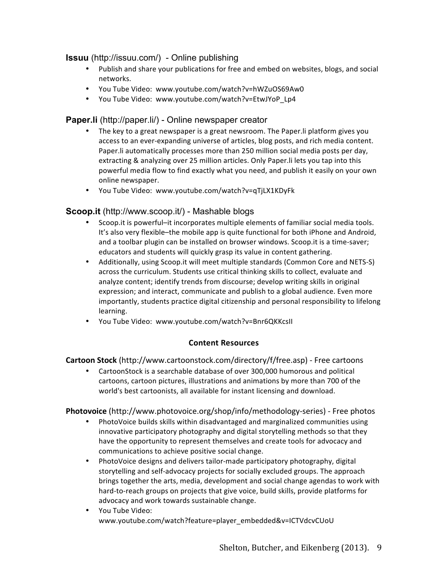# **Issuu** (http://issuu.com/) - Online publishing

- Publish and share your publications for free and embed on websites, blogs, and social networks.
- You Tube Video: www.youtube.com/watch?v=hWZuOS69Aw0
- You Tube Video: www.youtube.com/watch?v=EtwJYoP\_Lp4

# **Paper.li** (http://paper.li/) - Online newspaper creator

- The key to a great newspaper is a great newsroom. The Paper. Ii platform gives you access to an ever-expanding universe of articles, blog posts, and rich media content. Paper. Ii automatically processes more than 250 million social media posts per day, extracting & analyzing over 25 million articles. Only Paper.li lets you tap into this powerful media flow to find exactly what you need, and publish it easily on your own online newspaper.
- You Tube Video: www.youtube.com/watch?v=qTjLX1KDyFk

# **Scoop.it** (http://www.scoop.it/) - Mashable blogs

- Scoop.it is powerful–it incorporates multiple elements of familiar social media tools. It's also very flexible–the mobile app is quite functional for both iPhone and Android, and a toolbar plugin can be installed on browser windows. Scoop.it is a time-saver; educators and students will quickly grasp its value in content gathering.
- Additionally, using Scoop.it will meet multiple standards (Common Core and NETS-S) across the curriculum. Students use critical thinking skills to collect, evaluate and analyze content; identify trends from discourse; develop writing skills in original expression; and interact, communicate and publish to a global audience. Even more importantly, students practice digital citizenship and personal responsibility to lifelong learning.
- You Tube Video: www.youtube.com/watch?v=Bnr6QKKcsII

### **Content Resources**

### **Cartoon Stock** (http://www.cartoonstock.com/directory/f/free.asp) - Free cartoons

• CartoonStock is a searchable database of over 300,000 humorous and political cartoons, cartoon pictures, illustrations and animations by more than 700 of the world's best cartoonists, all available for instant licensing and download.

#### **Photovoice** (http://www.photovoice.org/shop/info/methodology-series) - Free photos

- PhotoVoice builds skills within disadvantaged and marginalized communities using innovative participatory photography and digital storytelling methods so that they have the opportunity to represent themselves and create tools for advocacy and communications to achieve positive social change.
- PhotoVoice designs and delivers tailor-made participatory photography, digital storytelling and self-advocacy projects for socially excluded groups. The approach brings together the arts, media, development and social change agendas to work with hard-to-reach groups on projects that give voice, build skills, provide platforms for advocacy and work towards sustainable change.
- You Tube Video: www.youtube.com/watch?feature=player\_embedded&v=ICTVdcvCUoU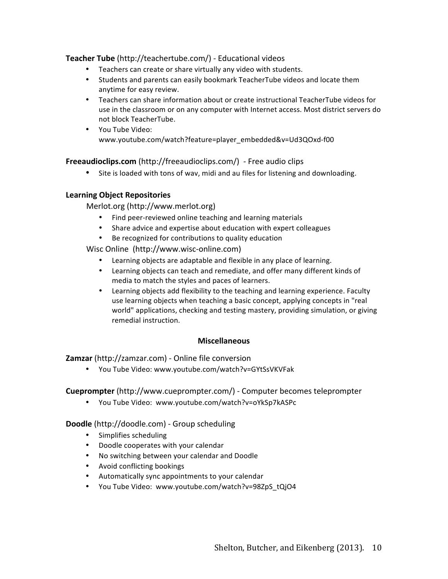### **Teacher Tube** (http://teachertube.com/) - Educational videos

- Teachers can create or share virtually any video with students.
- Students and parents can easily bookmark TeacherTube videos and locate them anytime for easy review.
- Teachers can share information about or create instructional TeacherTube videos for use in the classroom or on any computer with Internet access. Most district servers do not block TeacherTube.
- You Tube Video: www.youtube.com/watch?feature=player\_embedded&v=Ud3QOxd-f00

**Freeaudioclips.com** (http://freeaudioclips.com/) - Free audio clips

• Site is loaded with tons of wav, midi and au files for listening and downloading.

### **Learning Object Repositories**

Merlot.org (http://www.merlot.org) 

- Find peer-reviewed online teaching and learning materials
- Share advice and expertise about education with expert colleagues
- Be recognized for contributions to quality education

Wisc Online (http://www.wisc-online.com)

- Learning objects are adaptable and flexible in any place of learning.
- Learning objects can teach and remediate, and offer many different kinds of media to match the styles and paces of learners.
- Learning objects add flexibility to the teaching and learning experience. Faculty use learning objects when teaching a basic concept, applying concepts in "real world" applications, checking and testing mastery, providing simulation, or giving remedial instruction.

#### **Miscellaneous**

**Zamzar** (http://zamzar.com) - Online file conversion

• You Tube Video: www.youtube.com/watch?v=GYtSsVKVFak

**Cueprompter** (http://www.cueprompter.com/) - Computer becomes teleprompter

• You Tube Video: www.youtube.com/watch?v=oYkSp7kASPc

**Doodle** (http://doodle.com) - Group scheduling

- Simplifies scheduling
- Doodle cooperates with your calendar
- No switching between your calendar and Doodle
- Avoid conflicting bookings
- Automatically sync appointments to your calendar
- You Tube Video: www.youtube.com/watch?v=98ZpS\_tQjO4